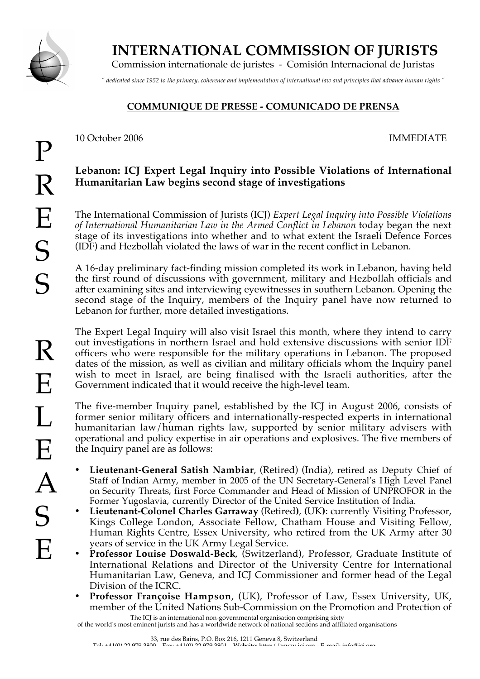

 **INTERNATIONAL COMMISSION OF JURISTS**

Commission internationale de juristes - Comisión Internacional de Juristas

*" dedicated since 1952 to the primacy, coherence and implementation of international law and principles that advance human rights "*

## **COMMUNIQUE DE PRESSE - COMUNICADO DE PRENSA**

10 October 2006 IMMEDIATE

## **Lebanon: ICJ Expert Legal Inquiry into Possible Violations of International Humanitarian Law begins second stage of investigations**

The International Commission of Jurists (ICJ) *Expert Legal Inquiry into Possible Violations of International Humanitarian Law in the Armed Conflict in Lebanon* today began the next stage of its investigations into whether and to what extent the Israeli Defence Forces (IDF) and Hezbollah violated the laws of war in the recent conflict in Lebanon.

A 16-day preliminary fact-finding mission completed its work in Lebanon, having held the first round of discussions with government, military and Hezbollah officials and after examining sites and interviewing eyewitnesses in southern Lebanon. Opening the second stage of the Inquiry, members of the Inquiry panel have now returned to Lebanon for further, more detailed investigations.

The Expert Legal Inquiry will also visit Israel this month, where they intend to carry out investigations in northern Israel and hold extensive discussions with senior IDF officers who were responsible for the military operations in Lebanon. The proposed dates of the mission, as well as civilian and military officials whom the Inquiry panel wish to meet in Israel, are being finalised with the Israeli authorities, after the Government indicated that it would receive the high-level team.

The five-member Inquiry panel, established by the ICJ in August 2006, consists of former senior military officers and internationally-respected experts in international humanitarian law/human rights law, supported by senior military advisers with operational and policy expertise in air operations and explosives. The five members of the Inquiry panel are as follows:

- **Lieutenant-General Satish Nambiar**, (Retired) (India), retired as Deputy Chief of Staff of Indian Army, member in 2005 of the UN Secretary-General's High Level Panel on Security Threats, first Force Commander and Head of Mission of UNPROFOR in the Former Yugoslavia, currently Director of the United Service Institution of India.
- **Lieutenant-Colonel Charles Garraway** (Retired**)**, **(**UK**)**: currently Visiting Professor, Kings College London, Associate Fellow, Chatham House and Visiting Fellow, Human Rights Centre, Essex University, who retired from the UK Army after 30 years of service in the UK Army Legal Service.
- **Professor Louise Doswald-Beck**, (Switzerland), Professor, Graduate Institute of International Relations and Director of the University Centre for International Humanitarian Law, Geneva, and ICJ Commissioner and former head of the Legal Division of the ICRC.
- The ICJ is an international non-governmental organisation comprising sixty • **Professor Françoise Hampson**, (UK), Professor of Law, Essex University, UK, member of the United Nations Sub-Commission on the Promotion and Protection of

of the world's most eminent jurists and has a worldwide network of national sections and affiliated organisations